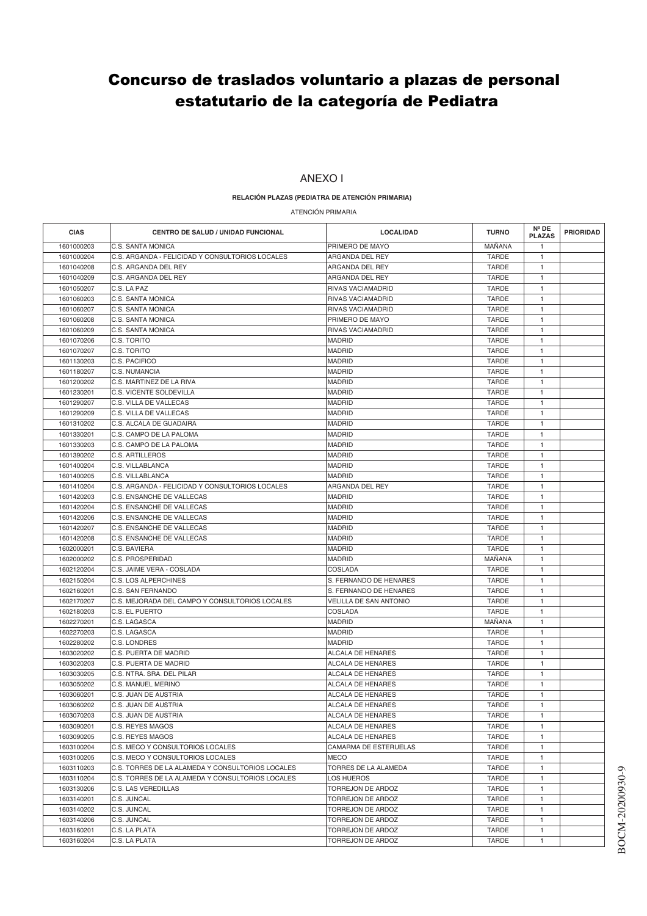## Concurso de traslados voluntario a plazas de personal estatutario de la categoría de Pediatra

## ANEXO I

## **RELACIÓN PLAZAS (PEDIATRA DE ATENCIÓN PRIMARIA)**

ATENCIÓN PRIMARIA

| <b>CIAS</b> | <b>CENTRO DE SALUD / UNIDAD FUNCIONAL</b>        | <b>LOCALIDAD</b>                   | <b>TURNO</b>                 | Nº DE<br><b>PLAZAS</b> | <b>PRIORIDAD</b> |
|-------------|--------------------------------------------------|------------------------------------|------------------------------|------------------------|------------------|
| 1601000203  | C.S. SANTA MONICA                                | PRIMERO DE MAYO                    | MAÑANA                       | $\mathbf{1}$           |                  |
| 1601000204  | C.S. ARGANDA - FELICIDAD Y CONSULTORIOS LOCALES  | ARGANDA DEL REY                    | <b>TARDE</b>                 | 1                      |                  |
| 1601040208  | C.S. ARGANDA DEL REY                             | ARGANDA DEL REY                    | <b>TARDE</b>                 | 1                      |                  |
| 1601040209  | C.S. ARGANDA DEL REY                             | ARGANDA DEL REY                    | <b>TARDE</b>                 | $\mathbf{1}$           |                  |
| 1601050207  | C.S. LA PAZ                                      | RIVAS VACIAMADRID                  | <b>TARDE</b>                 | $\mathbf{1}$           |                  |
| 1601060203  | C.S. SANTA MONICA                                | RIVAS VACIAMADRID                  | <b>TARDE</b>                 | $\mathbf{1}$           |                  |
| 1601060207  | C.S. SANTA MONICA                                | RIVAS VACIAMADRID                  | <b>TARDE</b>                 | 1                      |                  |
| 1601060208  | C.S. SANTA MONICA                                | PRIMERO DE MAYO                    | <b>TARDE</b>                 | $\mathbf{1}$           |                  |
| 1601060209  | C.S. SANTA MONICA                                | RIVAS VACIAMADRID                  | <b>TARDE</b>                 | $\mathbf{1}$           |                  |
| 1601070206  | C.S. TORITO                                      | <b>MADRID</b>                      | <b>TARDE</b>                 | $\mathbf{1}$           |                  |
| 1601070207  | C.S. TORITO                                      | <b>MADRID</b>                      | <b>TARDE</b>                 | $\mathbf{1}$           |                  |
| 1601130203  | C.S. PACIFICO                                    | <b>MADRID</b>                      | <b>TARDE</b>                 | 1                      |                  |
| 1601180207  | C.S. NUMANCIA                                    | <b>MADRID</b>                      | <b>TARDE</b>                 | $\mathbf{1}$           |                  |
| 1601200202  | C.S. MARTINEZ DE LA RIVA                         | <b>MADRID</b>                      | <b>TARDE</b>                 | 1                      |                  |
| 1601230201  | C.S. VICENTE SOLDEVILLA                          | <b>MADRID</b>                      | <b>TARDE</b>                 | $\mathbf{1}$           |                  |
| 1601290207  | C.S. VILLA DE VALLECAS                           | <b>MADRID</b>                      | <b>TARDE</b>                 | $\mathbf{1}$           |                  |
| 1601290209  | C.S. VILLA DE VALLECAS                           | <b>MADRID</b>                      | <b>TARDE</b>                 | 1                      |                  |
| 1601310202  | C.S. ALCALA DE GUADAIRA                          | <b>MADRID</b>                      | <b>TARDE</b>                 | $\mathbf{1}$           |                  |
| 1601330201  | C.S. CAMPO DE LA PALOMA                          | <b>MADRID</b>                      | <b>TARDE</b>                 | $\mathbf{1}$           |                  |
| 1601330203  | C.S. CAMPO DE LA PALOMA                          | <b>MADRID</b>                      | <b>TARDE</b>                 | 1                      |                  |
| 1601390202  | <b>C.S. ARTILLEROS</b>                           | <b>MADRID</b>                      | <b>TARDE</b>                 | 1                      |                  |
| 1601400204  | C.S. VILLABLANCA                                 | <b>MADRID</b>                      | <b>TARDE</b>                 | 1                      |                  |
| 1601400205  | C.S. VILLABLANCA                                 | <b>MADRID</b>                      | <b>TARDE</b>                 | $\mathbf{1}$           |                  |
| 1601410204  | C.S. ARGANDA - FELICIDAD Y CONSULTORIOS LOCALES  | ARGANDA DEL REY                    | <b>TARDE</b>                 | 1                      |                  |
| 1601420203  | C.S. ENSANCHE DE VALLECAS                        | <b>MADRID</b>                      | <b>TARDE</b>                 | $\mathbf{1}$           |                  |
| 1601420204  | C.S. ENSANCHE DE VALLECAS                        | <b>MADRID</b>                      | <b>TARDE</b>                 | 1                      |                  |
| 1601420206  | C.S. ENSANCHE DE VALLECAS                        | <b>MADRID</b>                      | <b>TARDE</b>                 | 1                      |                  |
| 1601420207  | C.S. ENSANCHE DE VALLECAS                        | <b>MADRID</b>                      | <b>TARDE</b>                 | $\mathbf{1}$           |                  |
| 1601420208  | C.S. ENSANCHE DE VALLECAS                        | <b>MADRID</b>                      | <b>TARDE</b>                 |                        |                  |
| 1602000201  | C.S. BAVIERA                                     | <b>MADRID</b>                      | <b>TARDE</b>                 | 1<br>$\mathbf{1}$      |                  |
| 1602000202  | C.S. PROSPERIDAD                                 | <b>MADRID</b>                      | MANANA                       | $\mathbf{1}$           |                  |
| 1602120204  | C.S. JAIME VERA - COSLADA                        | COSLADA                            | TARDE                        | 1                      |                  |
| 1602150204  | <b>C.S. LOS ALPERCHINES</b>                      | S. FERNANDO DE HENARES             | <b>TARDE</b>                 | $\mathbf{1}$           |                  |
| 1602160201  | C.S. SAN FERNANDO                                | S. FERNANDO DE HENARES             | <b>TARDE</b>                 |                        |                  |
| 1602170207  | C.S. MEJORADA DEL CAMPO Y CONSULTORIOS LOCALES   | <b>VELILLA DE SAN ANTONIO</b>      | <b>TARDE</b>                 | 1<br>$\mathbf{1}$      |                  |
| 1602180203  | C.S. EL PUERTO                                   | <b>COSLADA</b>                     | <b>TARDE</b>                 | $\mathbf{1}$           |                  |
|             |                                                  |                                    | MAÑANA                       |                        |                  |
| 1602270201  | C.S. LAGASCA                                     | <b>MADRID</b>                      |                              | 1<br>$\mathbf{1}$      |                  |
| 1602270203  | C.S. LAGASCA                                     | <b>MADRID</b>                      | <b>TARDE</b>                 |                        |                  |
| 1602280202  | C.S. LONDRES<br>C.S. PUERTA DE MADRID            | <b>MADRID</b><br>ALCALA DE HENARES | <b>TARDE</b><br><b>TARDE</b> | 1<br>$\mathbf{1}$      |                  |
| 1603020202  |                                                  |                                    |                              |                        |                  |
| 1603020203  | C.S. PUERTA DE MADRID                            | <b>ALCALA DE HENARES</b>           | <b>TARDE</b>                 | $\mathbf{1}$           |                  |
| 1603030205  | C.S. NTRA. SRA. DEL PILAR                        | ALCALA DE HENARES                  | <b>TARDE</b>                 | 1                      |                  |
| 1603050202  | C.S. MANUEL MERINO                               | <b>ALCALA DE HENARES</b>           | <b>TARDE</b>                 | $\mathbf{1}$           |                  |
| 1603060201  | C.S. JUAN DE AUSTRIA                             | ALCALA DE HENARES                  | <b>TARDE</b>                 | $\mathbf{1}$           |                  |
| 1603060202  | C.S. JUAN DE AUSTRIA                             | <b>ALCALA DE HENARES</b>           | <b>TARDE</b>                 | $\mathbf{1}$           |                  |
| 1603070203  | C.S. JUAN DE AUSTRIA                             | ALCALA DE HENARES                  | TARDE                        | 1                      |                  |
| 1603090201  | C.S. REYES MAGOS                                 | ALCALA DE HENARES                  | TARDE                        | 1                      |                  |
| 1603090205  | C.S. REYES MAGOS                                 | <b>ALCALA DE HENARES</b>           | TARDE                        | $\mathbf{1}$           |                  |
| 1603100204  | C.S. MECO Y CONSULTORIOS LOCALES                 | CAMARMA DE ESTERUELAS              | <b>TARDE</b>                 | 1                      |                  |
| 1603100205  | C.S. MECO Y CONSULTORIOS LOCALES                 | <b>MECO</b>                        | <b>TARDE</b>                 | 1                      |                  |
| 1603110203  | C.S. TORRES DE LA ALAMEDA Y CONSULTORIOS LOCALES | TORRES DE LA ALAMEDA               | <b>TARDE</b>                 | 1                      |                  |
| 1603110204  | C.S. TORRES DE LA ALAMEDA Y CONSULTORIOS LOCALES | <b>LOS HUEROS</b>                  | TARDE                        | 1                      |                  |
| 1603130206  | C.S. LAS VEREDILLAS                              | TORREJON DE ARDOZ                  | TARDE                        | $\mathbf{1}$           |                  |
| 1603140201  | C.S. JUNCAL                                      | TORREJON DE ARDOZ                  | <b>TARDE</b>                 | 1                      |                  |
| 1603140202  | C.S. JUNCAL                                      | TORREJON DE ARDOZ                  | <b>TARDE</b>                 | $\mathbf{1}$           |                  |
| 1603140206  | C.S. JUNCAL                                      | TORREJON DE ARDOZ                  | <b>TARDE</b>                 | 1                      |                  |
| 1603160201  | C.S. LA PLATA                                    | TORREJON DE ARDOZ                  | TARDE                        | 1                      |                  |
| 1603160204  | C.S. LA PLATA                                    | TORREJON DE ARDOZ                  | TARDE                        | $\mathbf{1}$           |                  |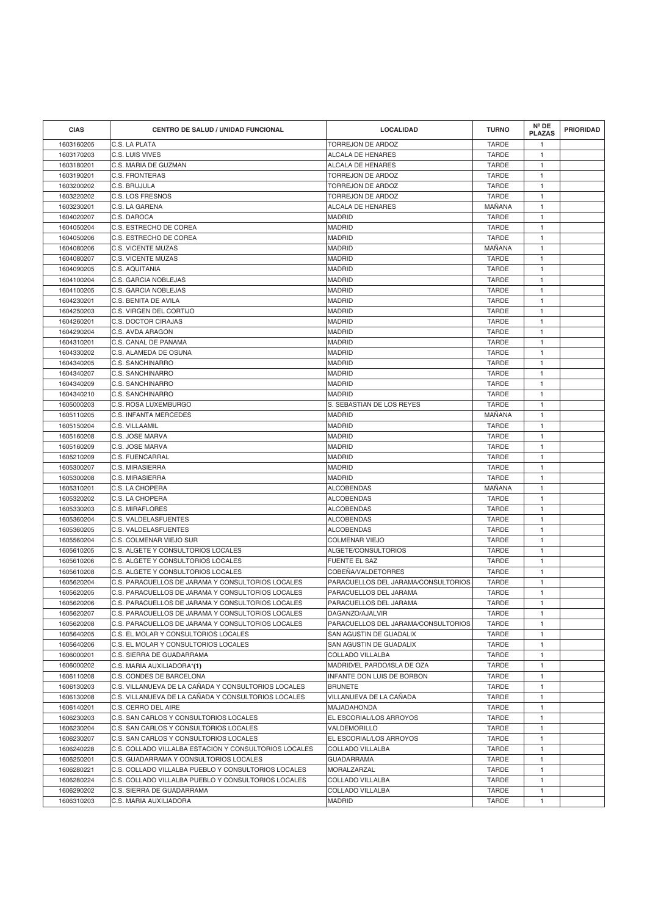| <b>CIAS</b> | CENTRO DE SALUD / UNIDAD FUNCIONAL                    | <b>LOCALIDAD</b>                    | <b>TURNO</b>  | $N^{\circ}$ DE<br><b>PLAZAS</b> | <b>PRIORIDAD</b> |
|-------------|-------------------------------------------------------|-------------------------------------|---------------|---------------------------------|------------------|
| 1603160205  | C.S. LA PLATA                                         | <b>TORREJON DE ARDOZ</b>            | <b>TARDE</b>  | $\mathbf{1}$                    |                  |
| 1603170203  | C.S. LUIS VIVES                                       | ALCALA DE HENARES                   | <b>TARDE</b>  | $\mathbf{1}$                    |                  |
| 1603180201  | C.S. MARIA DE GUZMAN                                  | ALCALA DE HENARES                   | <b>TARDE</b>  | $\mathbf{1}$                    |                  |
| 1603190201  | <b>C.S. FRONTERAS</b>                                 | <b>TORREJON DE ARDOZ</b>            | <b>TARDE</b>  | $\mathbf{1}$                    |                  |
| 1603200202  | C.S. BRUJULA                                          | TORREJON DE ARDOZ                   | <b>TARDE</b>  | $\mathbf{1}$                    |                  |
| 1603220202  | C.S. LOS FRESNOS                                      | TORREJON DE ARDOZ                   | <b>TARDE</b>  | $\overline{1}$                  |                  |
| 1603230201  | C.S. LA GARENA                                        | ALCALA DE HENARES                   | MAÑANA        | $\overline{1}$                  |                  |
| 1604020207  | C.S. DAROCA                                           | <b>MADRID</b>                       | <b>TARDE</b>  | $\mathbf{1}$                    |                  |
| 1604050204  | C.S. ESTRECHO DE COREA                                | <b>MADRID</b>                       | <b>TARDE</b>  | $\mathbf{1}$                    |                  |
| 1604050206  | C.S. ESTRECHO DE COREA                                | <b>MADRID</b>                       | <b>TARDE</b>  | $\mathbf{1}$                    |                  |
| 1604080206  | C.S. VICENTE MUZAS                                    | <b>MADRID</b>                       | <b>MANANA</b> | $\mathbf{1}$                    |                  |
| 1604080207  | C.S. VICENTE MUZAS                                    | <b>MADRID</b>                       | <b>TARDE</b>  | $\mathbf{1}$                    |                  |
| 1604090205  | C.S. AQUITANIA                                        | <b>MADRID</b>                       | <b>TARDE</b>  | $\mathbf{1}$                    |                  |
| 1604100204  | C.S. GARCIA NOBLEJAS                                  | <b>MADRID</b>                       | <b>TARDE</b>  | $\mathbf{1}$                    |                  |
| 1604100205  | C.S. GARCIA NOBLEJAS                                  | <b>MADRID</b>                       | <b>TARDE</b>  | $\mathbf{1}$                    |                  |
| 1604230201  | C.S. BENITA DE AVILA                                  | <b>MADRID</b>                       | <b>TARDE</b>  | $\mathbf{1}$                    |                  |
| 1604250203  | C.S. VIRGEN DEL CORTIJO                               | <b>MADRID</b>                       | <b>TARDE</b>  | $\mathbf{1}$                    |                  |
| 1604260201  | C.S. DOCTOR CIRAJAS                                   | <b>MADRID</b>                       | <b>TARDE</b>  | $\mathbf{1}$                    |                  |
| 1604290204  | C.S. AVDA ARAGON                                      | <b>MADRID</b>                       | <b>TARDE</b>  | $\mathbf{1}$                    |                  |
| 1604310201  | C.S. CANAL DE PANAMA                                  | <b>MADRID</b>                       | <b>TARDE</b>  | $\mathbf{1}$                    |                  |
| 1604330202  | C.S. ALAMEDA DE OSUNA                                 | <b>MADRID</b>                       | <b>TARDE</b>  | $\mathbf{1}$                    |                  |
| 1604340205  | C.S. SANCHINARRO                                      | <b>MADRID</b>                       | <b>TARDE</b>  | $\overline{1}$                  |                  |
| 1604340207  | C.S. SANCHINARRO                                      | <b>MADRID</b>                       | <b>TARDE</b>  | $\mathbf{1}$                    |                  |
| 1604340209  | C.S. SANCHINARRO                                      | <b>MADRID</b>                       | <b>TARDE</b>  | $\overline{1}$                  |                  |
| 1604340210  | C.S. SANCHINARRO                                      | <b>MADRID</b>                       | <b>TARDE</b>  | $\mathbf{1}$                    |                  |
| 1605000203  | C.S. ROSA LUXEMBURGO                                  | S. SEBASTIAN DE LOS REYES           | <b>TARDE</b>  | $\mathbf{1}$                    |                  |
| 1605110205  | C.S. INFANTA MERCEDES                                 | <b>MADRID</b>                       | MANANA        | $\mathbf{1}$                    |                  |
| 1605150204  | C.S. VILLAAMIL                                        | <b>MADRID</b>                       | <b>TARDE</b>  | $\mathbf{1}$                    |                  |
| 1605160208  | C.S. JOSE MARVA                                       | <b>MADRID</b>                       | <b>TARDE</b>  | $\mathbf{1}$                    |                  |
| 1605160209  | C.S. JOSE MARVA                                       | <b>MADRID</b>                       | <b>TARDE</b>  | $\mathbf{1}$                    |                  |
| 1605210209  | <b>C.S. FUENCARRAL</b>                                | <b>MADRID</b>                       | <b>TARDE</b>  | $\mathbf{1}$                    |                  |
| 1605300207  | C.S. MIRASIERRA                                       | <b>MADRID</b>                       | <b>TARDE</b>  | $\mathbf{1}$                    |                  |
| 1605300208  | C.S. MIRASIERRA                                       | <b>MADRID</b>                       | <b>TARDE</b>  | $\mathbf{1}$                    |                  |
| 1605310201  | C.S. LA CHOPERA                                       | <b>ALCOBENDAS</b>                   | MAÑANA        | $\mathbf{1}$                    |                  |
| 1605320202  | C.S. LA CHOPERA                                       | <b>ALCOBENDAS</b>                   | <b>TARDE</b>  | $\mathbf{1}$                    |                  |
| 1605330203  | C.S. MIRAFLORES                                       | <b>ALCOBENDAS</b>                   | <b>TARDE</b>  | $\mathbf{1}$                    |                  |
| 1605360204  | C.S. VALDELASFUENTES                                  | <b>ALCOBENDAS</b>                   | <b>TARDE</b>  | $\mathbf{1}$                    |                  |
| 1605360205  | C.S. VALDELASFUENTES                                  | <b>ALCOBENDAS</b>                   | <b>TARDE</b>  | $\mathbf{1}$                    |                  |
| 1605560204  | C.S. COLMENAR VIEJO SUR                               | <b>COLMENAR VIEJO</b>               | <b>TARDE</b>  | $\mathbf{1}$                    |                  |
| 1605610205  | C.S. ALGETE Y CONSULTORIOS LOCALES                    | ALGETE/CONSULTORIOS                 | <b>TARDE</b>  | $\mathbf{1}$                    |                  |
| 1605610206  | C.S. ALGETE Y CONSULTORIOS LOCALES                    | <b>FUENTE EL SAZ</b>                | <b>TARDE</b>  | $\mathbf{1}$                    |                  |
| 1605610208  | C.S. ALGETE Y CONSULTORIOS LOCALES                    | COBEÑA/VALDETORRES                  | <b>TARDE</b>  | $\mathbf{1}$                    |                  |
| 1605620204  | C.S. PARACUELLOS DE JARAMA Y CONSULTORIOS LOCALES     | PARACUELLOS DEL JARAMA/CONSULTORIOS | <b>TARDE</b>  | $\mathbf{1}$                    |                  |
| 1605620205  | C.S. PARACUELLOS DE JARAMA Y CONSULTORIOS LOCALES     | PARACUELLOS DEL JARAMA              | <b>TARDE</b>  | $\mathbf{1}$                    |                  |
| 1605620206  | C.S. PARACUELLOS DE JARAMA Y CONSULTORIOS LOCALES     | PARACUELLOS DEL JARAMA              | <b>TARDE</b>  | $\mathbf{1}$                    |                  |
| 1605620207  | C.S. PARACUELLOS DE JARAMA Y CONSULTORIOS LOCALES     | DAGANZO/AJALVIR                     | TARDE         | $\mathbf{1}$                    |                  |
| 1605620208  | C.S. PARACUELLOS DE JARAMA Y CONSULTORIOS LOCALES     | PARACUELLOS DEL JARAMA/CONSULTORIOS | <b>TARDE</b>  | $\mathbf{1}$                    |                  |
| 1605640205  | C.S. EL MOLAR Y CONSULTORIOS LOCALES                  | SAN AGUSTIN DE GUADALIX             | <b>TARDE</b>  | $\mathbf{1}$                    |                  |
| 1605640206  | C.S. EL MOLAR Y CONSULTORIOS LOCALES                  | SAN AGUSTIN DE GUADALIX             | <b>TARDE</b>  | $\mathbf{1}$                    |                  |
| 1606000201  | C.S. SIERRA DE GUADARRAMA                             | COLLADO VILLALBA                    | <b>TARDE</b>  | $\mathbf{1}$                    |                  |
| 1606000202  | C.S. MARIA AUXILIADORA*(1)                            | MADRID/EL PARDO/ISLA DE OZA         | <b>TARDE</b>  | $\mathbf{1}$                    |                  |
| 1606110208  | C.S. CONDES DE BARCELONA                              | INFANTE DON LUIS DE BORBON          | <b>TARDE</b>  | $\mathbf{1}$                    |                  |
| 1606130203  | C.S. VILLANUEVA DE LA CAÑADA Y CONSULTORIOS LOCALES   | <b>BRUNETE</b>                      | <b>TARDE</b>  | $\mathbf{1}$                    |                  |
| 1606130208  | C.S. VILLANUEVA DE LA CAÑADA Y CONSULTORIOS LOCALES   | VILLANUEVA DE LA CAÑADA             | TARDE         | $\mathbf{1}$                    |                  |
| 1606140201  | C.S. CERRO DEL AIRE                                   | <b>MAJADAHONDA</b>                  | <b>TARDE</b>  | $\mathbf{1}$                    |                  |
| 1606230203  | C.S. SAN CARLOS Y CONSULTORIOS LOCALES                | EL ESCORIAL/LOS ARROYOS             | <b>TARDE</b>  | $\mathbf{1}$                    |                  |
| 1606230204  | C.S. SAN CARLOS Y CONSULTORIOS LOCALES                | VALDEMORILLO                        | TARDE         | $\mathbf{1}$                    |                  |
| 1606230207  | C.S. SAN CARLOS Y CONSULTORIOS LOCALES                | EL ESCORIAL/LOS ARROYOS             | <b>TARDE</b>  | $\mathbf{1}$                    |                  |
| 1606240228  | C.S. COLLADO VILLALBA ESTACION Y CONSULTORIOS LOCALES | COLLADO VILLALBA                    | TARDE         | $\mathbf{1}$                    |                  |
| 1606250201  | C.S. GUADARRAMA Y CONSULTORIOS LOCALES                | <b>GUADARRAMA</b>                   | <b>TARDE</b>  | $\mathbf{1}$                    |                  |
| 1606280221  | C.S. COLLADO VILLALBA PUEBLO Y CONSULTORIOS LOCALES   | MORALZARZAL                         | <b>TARDE</b>  | $\mathbf{1}$                    |                  |
| 1606280224  | C.S. COLLADO VILLALBA PUEBLO Y CONSULTORIOS LOCALES   | <b>COLLADO VILLALBA</b>             | <b>TARDE</b>  | $\mathbf{1}$                    |                  |
| 1606290202  | C.S. SIERRA DE GUADARRAMA                             | COLLADO VILLALBA                    | <b>TARDE</b>  | $\mathbf{1}$                    |                  |
| 1606310203  | C.S. MARIA AUXILIADORA                                | <b>MADRID</b>                       | <b>TARDE</b>  | $\mathbf{1}$                    |                  |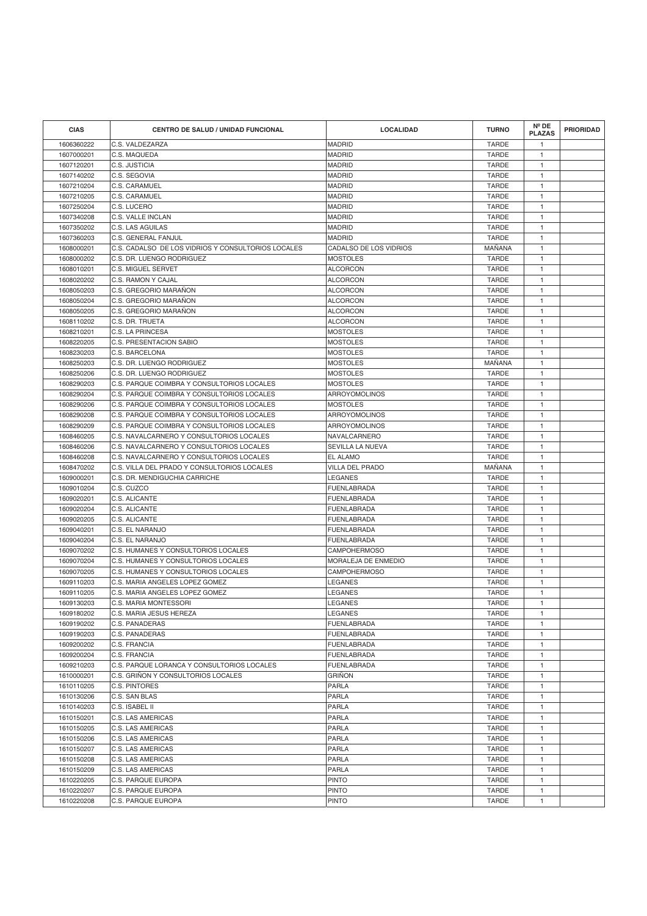| <b>CIAS</b> | <b>CENTRO DE SALUD / UNIDAD FUNCIONAL</b>          | <b>LOCALIDAD</b>       | <b>TURNO</b> | Nº DE<br><b>PLAZAS</b> | <b>PRIORIDAD</b> |
|-------------|----------------------------------------------------|------------------------|--------------|------------------------|------------------|
| 1606360222  | C.S. VALDEZARZA                                    | <b>MADRID</b>          | <b>TARDE</b> | $\overline{1}$         |                  |
| 1607000201  | C.S. MAQUEDA                                       | <b>MADRID</b>          | <b>TARDE</b> | $\mathbf{1}$           |                  |
| 1607120201  | C.S. JUSTICIA                                      | <b>MADRID</b>          | <b>TARDE</b> | $\overline{1}$         |                  |
| 1607140202  | C.S. SEGOVIA                                       | <b>MADRID</b>          | <b>TARDE</b> | $\mathbf{1}$           |                  |
| 1607210204  | C.S. CARAMUEL                                      | <b>MADRID</b>          | <b>TARDE</b> | $\mathbf{1}$           |                  |
| 1607210205  | C.S. CARAMUEL                                      | <b>MADRID</b>          | <b>TARDE</b> | $\mathbf{1}$           |                  |
| 1607250204  | C.S. LUCERO                                        | <b>MADRID</b>          | <b>TARDE</b> | $\mathbf{1}$           |                  |
| 1607340208  | C.S. VALLE INCLAN                                  | <b>MADRID</b>          | <b>TARDE</b> | $\overline{1}$         |                  |
| 1607350202  | C.S. LAS AGUILAS                                   | <b>MADRID</b>          | <b>TARDE</b> | $\overline{1}$         |                  |
| 1607360203  | C.S. GENERAL FANJUL                                | <b>MADRID</b>          | <b>TARDE</b> | $\mathbf{1}$           |                  |
| 1608000201  | C.S. CADALSO DE LOS VIDRIOS Y CONSULTORIOS LOCALES | CADALSO DE LOS VIDRIOS | MANANA       | $\mathbf{1}$           |                  |
| 1608000202  | C.S. DR. LUENGO RODRIGUEZ                          | <b>MOSTOLES</b>        | <b>TARDE</b> | $\mathbf{1}$           |                  |
| 1608010201  | <b>C.S. MIGUEL SERVET</b>                          | <b>ALCORCON</b>        | <b>TARDE</b> | $\mathbf{1}$           |                  |
| 1608020202  | C.S. RAMON Y CAJAL                                 | <b>ALCORCON</b>        | <b>TARDE</b> | $\overline{1}$         |                  |
| 1608050203  | C.S. GREGORIO MARAÑON                              | <b>ALCORCON</b>        | <b>TARDE</b> | $\mathbf{1}$           |                  |
| 1608050204  | C.S. GREGORIO MARANON                              | <b>ALCORCON</b>        | <b>TARDE</b> | $\mathbf{1}$           |                  |
| 1608050205  | C.S. GREGORIO MARAÑON                              | <b>ALCORCON</b>        | <b>TARDE</b> | $\mathbf{1}$           |                  |
| 1608110202  | C.S. DR. TRUETA                                    | <b>ALCORCON</b>        | <b>TARDE</b> | $\mathbf{1}$           |                  |
| 1608210201  | C.S. LA PRINCESA                                   | <b>MOSTOLES</b>        | <b>TARDE</b> | $\overline{1}$         |                  |
| 1608220205  | C.S. PRESENTACION SABIO                            | <b>MOSTOLES</b>        | <b>TARDE</b> | $\mathbf{1}$           |                  |
| 1608230203  | C.S. BARCELONA                                     | <b>MOSTOLES</b>        | <b>TARDE</b> | $\mathbf{1}$           |                  |
| 1608250203  | C.S. DR. LUENGO RODRIGUEZ                          | <b>MOSTOLES</b>        | MAÑANA       | $\mathbf{1}$           |                  |
| 1608250206  | C.S. DR. LUENGO RODRIGUEZ                          | <b>MOSTOLES</b>        | <b>TARDE</b> | $\mathbf{1}$           |                  |
| 1608290203  | C.S. PARQUE COIMBRA Y CONSULTORIOS LOCALES         | <b>MOSTOLES</b>        | <b>TARDE</b> | $\overline{1}$         |                  |
| 1608290204  | C.S. PARQUE COIMBRA Y CONSULTORIOS LOCALES         | ARROYOMOLINOS          | <b>TARDE</b> | $\mathbf{1}$           |                  |
| 1608290206  | C.S. PARQUE COIMBRA Y CONSULTORIOS LOCALES         | <b>MOSTOLES</b>        | <b>TARDE</b> | $\overline{1}$         |                  |
| 1608290208  | C.S. PARQUE COIMBRA Y CONSULTORIOS LOCALES         | ARROYOMOLINOS          | <b>TARDE</b> | $\mathbf{1}$           |                  |
| 1608290209  | C.S. PARQUE COIMBRA Y CONSULTORIOS LOCALES         | <b>ARROYOMOLINOS</b>   | <b>TARDE</b> | $\mathbf{1}$           |                  |
| 1608460205  | C.S. NAVALCARNERO Y CONSULTORIOS LOCALES           | <b>NAVALCARNERO</b>    | <b>TARDE</b> | $\overline{1}$         |                  |
| 1608460206  | C.S. NAVALCARNERO Y CONSULTORIOS LOCALES           | SEVILLA LA NUEVA       | <b>TARDE</b> | $\mathbf{1}$           |                  |
| 1608460208  | C.S. NAVALCARNERO Y CONSULTORIOS LOCALES           | EL ALAMO               | <b>TARDE</b> | $\overline{1}$         |                  |
| 1608470202  | C.S. VILLA DEL PRADO Y CONSULTORIOS LOCALES        | VILLA DEL PRADO        | MAÑANA       | $\mathbf{1}$           |                  |
| 1609000201  | C.S. DR. MENDIGUCHIA CARRICHE                      | LEGANES                | <b>TARDE</b> | $\mathbf{1}$           |                  |
| 1609010204  | C.S. CUZCO                                         | FUENLABRADA            | <b>TARDE</b> | $\mathbf{1}$           |                  |
| 1609020201  | C.S. ALICANTE                                      | FUENLABRADA            | <b>TARDE</b> | $\mathbf{1}$           |                  |
| 1609020204  | C.S. ALICANTE                                      | FUENLABRADA            | <b>TARDE</b> | $\mathbf{1}$           |                  |
| 1609020205  | C.S. ALICANTE                                      | <b>FUENLABRADA</b>     | <b>TARDE</b> | $\mathbf{1}$           |                  |
| 1609040201  | C.S. EL NARANJO                                    | <b>FUENLABRADA</b>     | <b>TARDE</b> | $\mathbf{1}$           |                  |
| 1609040204  | C.S. EL NARANJO                                    | FUENLABRADA            | <b>TARDE</b> | $\mathbf{1}$           |                  |
| 1609070202  | C.S. HUMANES Y CONSULTORIOS LOCALES                | <b>CAMPOHERMOSO</b>    | <b>TARDE</b> | $\mathbf{1}$           |                  |
| 1609070204  | C.S. HUMANES Y CONSULTORIOS LOCALES                | MORALEJA DE ENMEDIO    | <b>TARDE</b> | $\mathbf{1}$           |                  |
| 1609070205  | C.S. HUMANES Y CONSULTORIOS LOCALES                | <b>CAMPOHERMOSO</b>    | <b>TARDE</b> | $\mathbf{1}$           |                  |
| 1609110203  | C.S. MARIA ANGELES LOPEZ GOMEZ                     | LEGANES                | <b>TARDE</b> | $\mathbf{1}$           |                  |
| 1609110205  | C.S. MARIA ANGELES LOPEZ GOMEZ                     | LEGANES                | <b>TARDE</b> | $\mathbf{1}$           |                  |
| 1609130203  | C.S. MARIA MONTESSORI                              | LEGANES                | <b>TARDE</b> | $\mathbf{1}$           |                  |
| 1609180202  | C.S. MARIA JESUS HEREZA                            | LEGANES                | <b>TARDE</b> | $\mathbf{1}$           |                  |
| 1609190202  | C.S. PANADERAS                                     | <b>FUENLABRADA</b>     | <b>TARDE</b> | $\mathbf{1}$           |                  |
| 1609190203  | C.S. PANADERAS                                     | <b>FUENLABRADA</b>     | <b>TARDE</b> | $\mathbf{1}$           |                  |
| 1609200202  | C.S. FRANCIA                                       | FUENLABRADA            | <b>TARDE</b> | $\mathbf{1}$           |                  |
| 1609200204  | C.S. FRANCIA                                       | <b>FUENLABRADA</b>     | <b>TARDE</b> | $\mathbf{1}$           |                  |
| 1609210203  | C.S. PARQUE LORANCA Y CONSULTORIOS LOCALES         | <b>FUENLABRADA</b>     | <b>TARDE</b> | $\mathbf{1}$           |                  |
| 1610000201  | C.S. GRIÑON Y CONSULTORIOS LOCALES                 | <b>GRINON</b>          | <b>TARDE</b> | $\mathbf{1}$           |                  |
| 1610110205  | C.S. PINTORES                                      | PARLA                  | <b>TARDE</b> | $\mathbf{1}$           |                  |
| 1610130206  | C.S. SAN BLAS                                      | PARLA                  | <b>TARDE</b> | $\mathbf{1}$           |                  |
| 1610140203  | C.S. ISABEL II                                     | <b>PARLA</b>           | <b>TARDE</b> | $\mathbf{1}$           |                  |
| 1610150201  | <b>C.S. LAS AMERICAS</b>                           | PARLA                  | <b>TARDE</b> | $\mathbf{1}$           |                  |
| 1610150205  | C.S. LAS AMERICAS                                  | PARLA                  | <b>TARDE</b> | $\mathbf{1}$           |                  |
| 1610150206  | C.S. LAS AMERICAS                                  | PARLA                  | <b>TARDE</b> | $\mathbf{1}$           |                  |
| 1610150207  | <b>C.S. LAS AMERICAS</b>                           | PARLA                  | <b>TARDE</b> | $\mathbf{1}$           |                  |
| 1610150208  | <b>C.S. LAS AMERICAS</b>                           | <b>PARLA</b>           | <b>TARDE</b> | $\mathbf{1}$           |                  |
| 1610150209  | C.S. LAS AMERICAS                                  | <b>PARLA</b>           | <b>TARDE</b> | $\mathbf{1}$           |                  |
| 1610220205  | C.S. PARQUE EUROPA                                 | <b>PINTO</b>           | <b>TARDE</b> | $\mathbf{1}$           |                  |
| 1610220207  | C.S. PARQUE EUROPA                                 | <b>PINTO</b>           | <b>TARDE</b> | $\mathbf{1}$           |                  |
| 1610220208  | C.S. PARQUE EUROPA                                 | <b>PINTO</b>           | <b>TARDE</b> | $\mathbf{1}$           |                  |